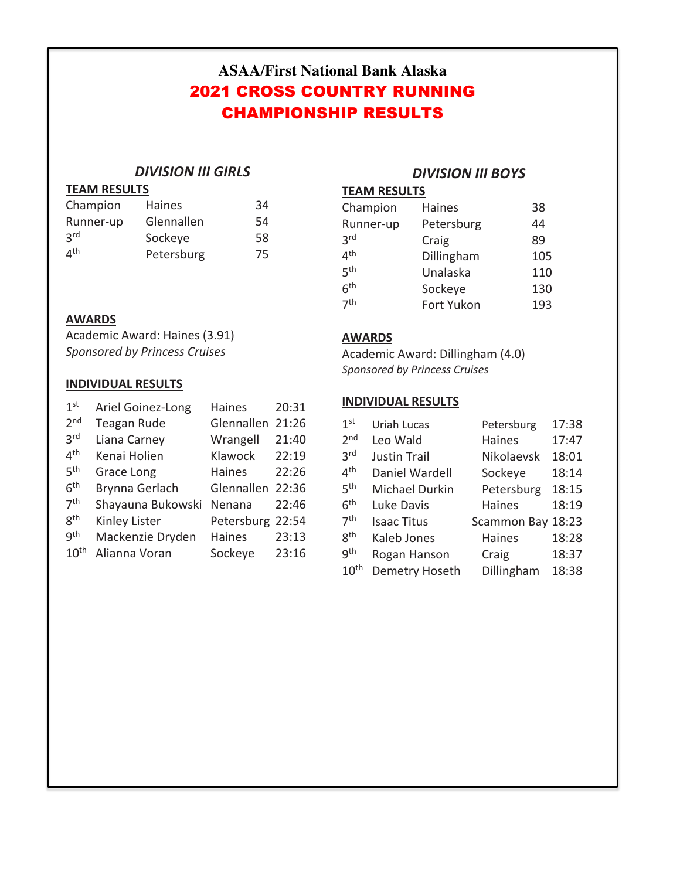# **ASAA/First National Bank Alaska** 2021 CROSS COUNTRY RUNNING CHAMPIONSHIP RESULTS

## *DIVISION III GIRLS*

## **TEAM RESULTS**

| Champion                 | Haines     | 34 |
|--------------------------|------------|----|
| Runner-up                | Glennallen | 54 |
| 2 <sub>rd</sub>          | Sockeye    | 58 |
| $\mathbf{A}^{\text{th}}$ | Petersburg | 75 |

## *DIVISION III BOYS*

## **TEAM RESULTS**

| Champion        | <b>Haines</b> | 38  |
|-----------------|---------------|-----|
| Runner-up       | Petersburg    | 44  |
| 3 <sup>rd</sup> | Craig         | 89  |
| 4 <sup>th</sup> | Dillingham    | 105 |
| 5 <sup>th</sup> | Unalaska      | 110 |
| 6 <sup>th</sup> | Sockeye       | 130 |
| 7 <sup>th</sup> | Fort Yukon    | 193 |

## **AWARDS**

Academic Award: Haines (3.91) *Sponsored by Princess Cruises*

## **INDIVIDUAL RESULTS**

| 1 <sub>st</sub>  | Ariel Goinez-Long  | <b>Haines</b>    | 20:31 |
|------------------|--------------------|------------------|-------|
| 2 <sub>nd</sub>  | <b>Teagan Rude</b> | Glennallen       | 21:26 |
| 3 <sup>rd</sup>  | Liana Carney       | Wrangell         | 21:40 |
| 4 <sup>th</sup>  | Kenai Holien       | Klawock          | 22:19 |
| 5 <sup>th</sup>  | Grace Long         | <b>Haines</b>    | 22:26 |
| 6 <sup>th</sup>  | Brynna Gerlach     | Glennallen 22:36 |       |
| 7 <sup>th</sup>  | Shayauna Bukowski  | Nenana           | 22:46 |
| 8 <sup>th</sup>  | Kinley Lister      | Petersburg 22:54 |       |
| gth              | Mackenzie Dryden   | <b>Haines</b>    | 23:13 |
| $10^{\text{th}}$ | Alianna Voran      | Sockeye          | 23:16 |

### **AWARDS**

Academic Award: Dillingham (4.0) *Sponsored by Princess Cruises*

#### **INDIVIDUAL RESULTS**

| 1 <sup>st</sup>  | Uriah Lucas         | Petersburg  | 17:38 |
|------------------|---------------------|-------------|-------|
| 2 <sub>nd</sub>  | Leo Wald            | Haines      | 17:47 |
| 3 <sup>rd</sup>  | <b>Justin Trail</b> | Nikolaevsk  | 18:01 |
| 4 <sup>th</sup>  | Daniel Wardell      | Sockeye     | 18:14 |
| 5 <sup>th</sup>  | Michael Durkin      | Petersburg  | 18:15 |
| 6 <sup>th</sup>  | Luke Davis          | Haines      | 18:19 |
| 7 <sup>th</sup>  | <b>Isaac Titus</b>  | Scammon Bay | 18:23 |
| 8 <sup>th</sup>  | Kaleb Jones         | Haines      | 18:28 |
| gth              | Rogan Hanson        | Craig       | 18:37 |
| 10 <sup>th</sup> | Demetry Hoseth      | Dillingham  | 18:38 |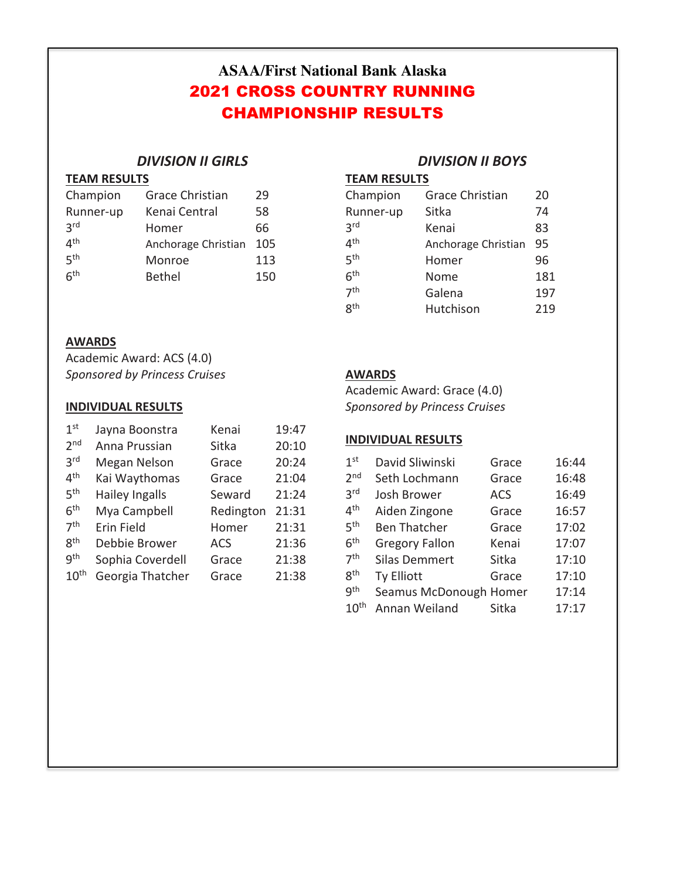# **ASAA/First National Bank Alaska** 2021 CROSS COUNTRY RUNNING CHAMPIONSHIP RESULTS

## *DIVISION II GIRLS*

### **TEAM RESULTS**

| Champion        | <b>Grace Christian</b> | 29  |
|-----------------|------------------------|-----|
| Runner-up       | Kenai Central          | 58  |
| 3 <sup>rd</sup> | Homer                  | 66  |
| 4 <sup>th</sup> | Anchorage Christian    | 105 |
| 5 <sup>th</sup> | Monroe                 | 113 |
| 6 <sup>th</sup> | <b>Bethel</b>          | 150 |

## **AWARDS**

Academic Award: ACS (4.0) *Sponsored by Princess Cruises*

## **INDIVIDUAL RESULTS**

| 1 <sup>st</sup>  | Jayna Boonstra   | Kenai      | 19:47 |
|------------------|------------------|------------|-------|
| 2 <sub>nd</sub>  | Anna Prussian    | Sitka      | 20:10 |
| 3 <sup>rd</sup>  | Megan Nelson     | Grace      | 20:24 |
| 4 <sup>th</sup>  | Kai Waythomas    | Grace      | 21:04 |
| 5 <sup>th</sup>  | Hailey Ingalls   | Seward     | 21:24 |
| 6 <sup>th</sup>  | Mya Campbell     | Redington  | 21:31 |
| 7 <sup>th</sup>  | Erin Field       | Homer      | 21:31 |
| gth              | Debbie Brower    | <b>ACS</b> | 21:36 |
| gth              | Sophia Coverdell | Grace      | 21:38 |
| 10 <sup>th</sup> | Georgia Thatcher | Grace      | 21:38 |

## *DIVISION II BOYS*

**TEAM RESULTS** 

| Champion        | <b>Grace Christian</b> | 20  |
|-----------------|------------------------|-----|
| Runner-up       | Sitka                  | 74  |
| 3 <sup>rd</sup> | Kenai                  | 83  |
| 4 <sup>th</sup> | Anchorage Christian    | 95  |
| 5 <sup>th</sup> | Homer                  | 96  |
| 6 <sup>th</sup> | Nome                   | 181 |
| 7 <sup>th</sup> | Galena                 | 197 |
| <b>g</b> th     | Hutchison              | 219 |

## **AWARDS**

Academic Award: Grace (4.0) *Sponsored by Princess Cruises*

## **INDIVIDUAL RESULTS**

| 1 <sup>st</sup>  | David Sliwinski        | Grace      | 16:44 |
|------------------|------------------------|------------|-------|
| 2 <sub>nd</sub>  | Seth Lochmann          | Grace      | 16:48 |
| 3 <sup>rd</sup>  | Josh Brower            | <b>ACS</b> | 16:49 |
| 4 <sup>th</sup>  | Aiden Zingone          | Grace      | 16:57 |
| 5 <sup>th</sup>  | <b>Ben Thatcher</b>    | Grace      | 17:02 |
| 6 <sup>th</sup>  | <b>Gregory Fallon</b>  | Kenai      | 17:07 |
| 7 <sup>th</sup>  | <b>Silas Demmert</b>   | Sitka      | 17:10 |
| 8 <sup>th</sup>  | <b>Ty Elliott</b>      | Grace      | 17:10 |
| gth              | Seamus McDonough Homer |            | 17:14 |
| 10 <sup>th</sup> | Annan Weiland          | Sitka      | 17:17 |